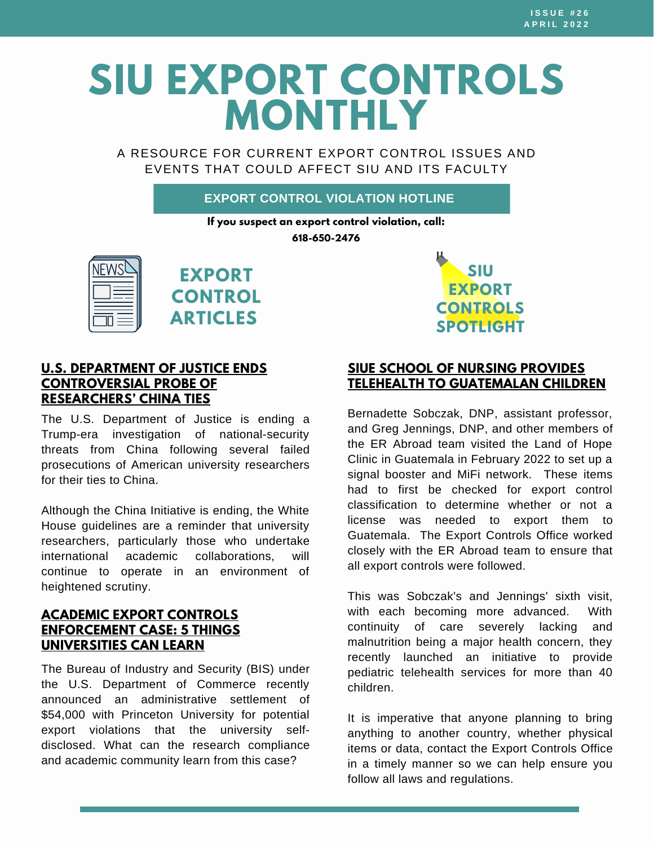# **SIU EXPORT CONTROLS MONTHLY**

A RESOURCE FOR CURRENT EXPORT CONTROL ISSUES AND EVENTS THAT COULD AFFECT SIU AND ITS FACULTY

## **EXPORT CONTROL VIOLATION HOTLINE**

**If you suspect an export control violation, call:**

**618-650-2476**







## **U.S. DEPARTMENT OF JUSTICE ENDS [CONTROVERSIAL](https://www.chronicle.com/article/u-s-department-of-justice-ends-controversial-probe-of-researchers-china-ties) PROBE OF RESEARCHERS' CHINA TIES**

The U.S. Department of Justice is ending a Trump-era investigation of national-security threats from China following several failed prosecutions of American university researchers for their ties to China.

Although the China Initiative is ending, the White House guidelines are a reminder that university researchers, particularly those who undertake international academic collaborations, will continue to operate in an environment of heightened scrutiny.

## **ACADEMIC EXPORT CONTROLS [ENFORCEMENT](https://traliance.com/academic-export-controls-enforcement-case-5-things-universities-can-learn/) CASE: 5 THINGS UNIVERSITIES CAN LEARN**

The Bureau of Industry and Security (BIS) under the U.S. Department of Commerce recently announced an [administrative](https://www.bis.doc.gov/index.php/documents/about-bis/newsroom/press-releases/2716-princeton-university-press-release-final-updated-2021-02-02/file) settlement of \$54,000 with Princeton University for potential export violations that the university selfdisclosed. What can the research compliance and academic community learn from this case?

## **SIUE SCHOOL OF NURSING PROVIDES TELEHEALTH TO [GUATEMALAN](https://www.siue.edu/news/2022/03/SIUESchoolofNursingProvidingTelehealthtoGuatemalanChildren.shtml) CHILDREN**

Bernadette Sobczak, DNP, assistant professor, and Greg Jennings, DNP, and other members of the ER Abroad team visited the Land of Hope Clinic in Guatemala in February 2022 to set up a signal booster and MiFi network. These items had to first be checked for export control classification to determine whether or not a license was needed to export them to Guatemala. The Export Controls Office worked closely with the ER Abroad team to ensure that all export controls were followed.

This was Sobczak's and Jennings' sixth visit, with each becoming more advanced. With continuity of care severely lacking and malnutrition being a major health concern, they recently launched an initiative to provide pediatric telehealth services for more than 40 children.

It is imperative that anyone planning to bring anything to another country, whether physical items or data, contact the Export Controls Office in a timely manner so we can help ensure you follow all laws and regulations.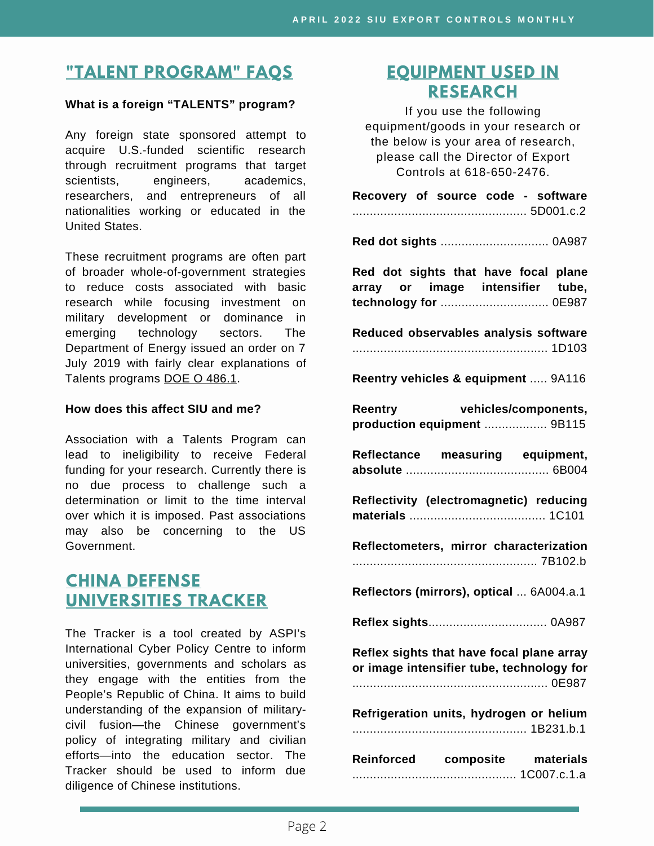# **"TALENT [PROGRAM"](https://siusystem.edu/academic-affairs/export-controls/foreign-talent-programs.shtml) FAQS**

#### **What is a foreign "TALENTS" program?**

Any foreign state sponsored attempt to acquire U.S.-funded scientific research through recruitment programs that target scientists, engineers, academics, researchers, and entrepreneurs of all nationalities working or educated in the United States.

These recruitment programs are often part of broader whole-of-government strategies to reduce costs associated with basic research while focusing investment on military development or dominance in emerging technology sectors. The Department of Energy issued an order on 7 July 2019 with fairly clear explanations of Talents programs DOE O [486.1.](https://www.directives.doe.gov/directives-documents/400-series/0486-1-border/@@images/file)

#### **How does this affect SIU and me?**

Association with a Talents Program can lead to ineligibility to receive Federal funding for your research. Currently there is no due process to challenge such a determination or limit to the time interval over which it is imposed. Past associations may also be concerning to the US Government.

## **CHINA DEFENSE [UNIVERSITIES](https://unitracker.aspi.org.au/) TRACKER**

The Tracker is a tool created by ASPI's International Cyber Policy Centre to inform universities, governments and scholars as they engage with the entities from the People's Republic of China. It aims to build understanding of the expansion of militarycivil fusion—the Chinese government's policy of integrating military and civilian efforts—into the education sector. The Tracker should be used to inform due diligence of Chinese institutions.

## **[EQUIPMENT](https://www.bis.doc.gov/index.php/documents/regulations-docs/2329-commerce-control-list-index-3/file) USED IN RESEARCH**

If you use the following equipment/goods in your research or the below is your area of research, please call the Director of Export Controls at 618-650-2476.

| Recovery of source code - software                                                                |
|---------------------------------------------------------------------------------------------------|
|                                                                                                   |
| Red dot sights that have focal plane<br>array or image intensifier tube,<br>technology for  0E987 |
| Reduced observables analysis software                                                             |
| Reentry vehicles & equipment  9A116                                                               |
| Reentry vehicles/components,<br>production equipment  9B115                                       |
| Reflectance measuring equipment,                                                                  |
| Reflectivity (electromagnetic) reducing                                                           |
| Reflectometers, mirror characterization                                                           |
| Reflectors (mirrors), optical  6A004.a.1                                                          |
|                                                                                                   |
| Reflex sights that have focal plane array<br>or image intensifier tube, technology for            |
| Refrigeration units, hydrogen or helium                                                           |
| Reinforced composite materials                                                                    |